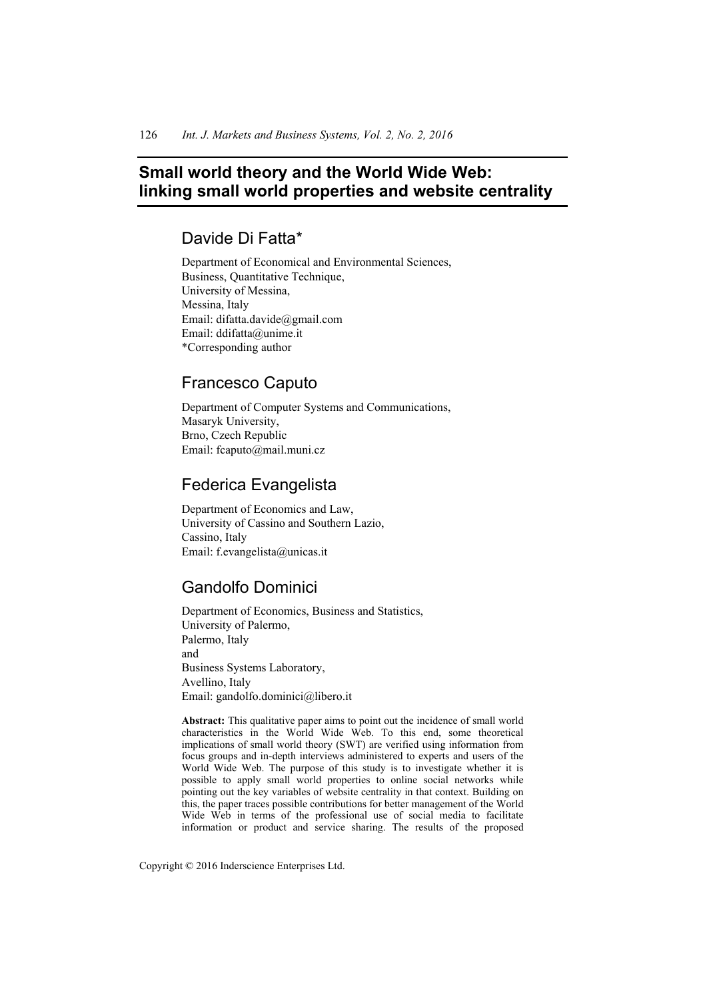# **Small world theory and the World Wide Web: linking small world properties and website centrality**

## Davide Di Fatta\*

Department of Economical and Environmental Sciences, Business, Quantitative Technique, University of Messina, Messina, Italy Email: difatta.davide@gmail.com Email: ddifatta@unime.it \*Corresponding author

## Francesco Caputo

Department of Computer Systems and Communications, Masaryk University, Brno, Czech Republic Email: fcaputo@mail.muni.cz

## Federica Evangelista

Department of Economics and Law, University of Cassino and Southern Lazio, Cassino, Italy Email: f.evangelista@unicas.it

## Gandolfo Dominici

Department of Economics, Business and Statistics, University of Palermo, Palermo, Italy and Business Systems Laboratory, Avellino, Italy Email: gandolfo.dominici@libero.it

**Abstract:** This qualitative paper aims to point out the incidence of small world characteristics in the World Wide Web. To this end, some theoretical implications of small world theory (SWT) are verified using information from focus groups and in-depth interviews administered to experts and users of the World Wide Web. The purpose of this study is to investigate whether it is possible to apply small world properties to online social networks while pointing out the key variables of website centrality in that context. Building on this, the paper traces possible contributions for better management of the World Wide Web in terms of the professional use of social media to facilitate information or product and service sharing. The results of the proposed

Copyright © 2016 Inderscience Enterprises Ltd.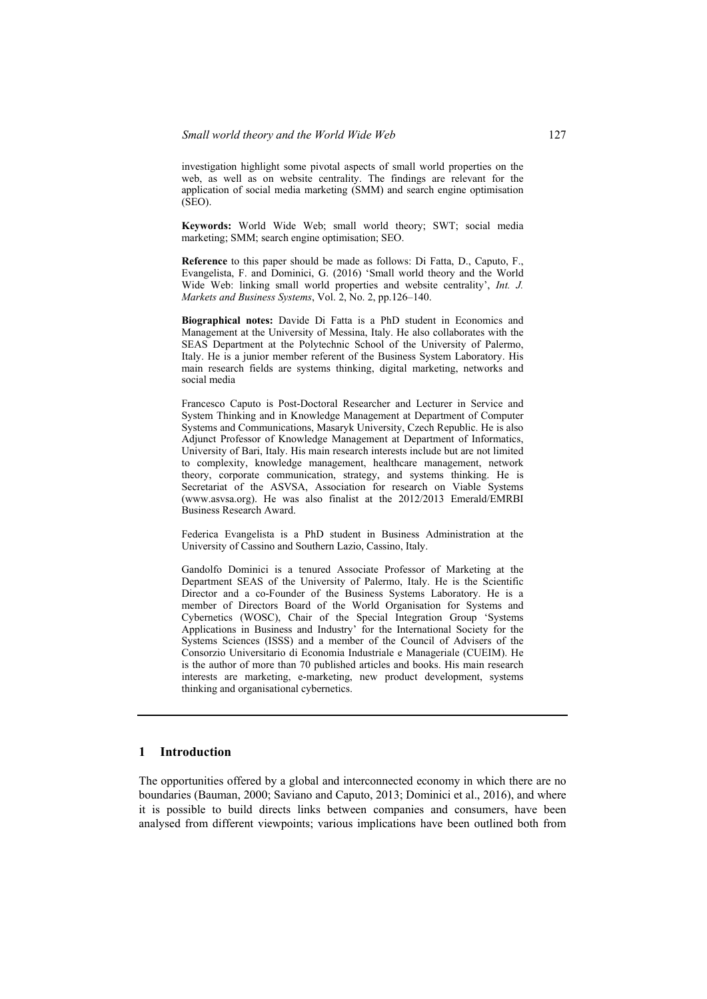investigation highlight some pivotal aspects of small world properties on the web, as well as on website centrality. The findings are relevant for the application of social media marketing (SMM) and search engine optimisation (SEO).

**Keywords:** World Wide Web; small world theory; SWT; social media marketing; SMM; search engine optimisation; SEO.

**Reference** to this paper should be made as follows: Di Fatta, D., Caputo, F., Evangelista, F. and Dominici, G. (2016) 'Small world theory and the World Wide Web: linking small world properties and website centrality', *Int. J. Markets and Business Systems*, Vol. 2, No. 2, pp.126–140.

**Biographical notes:** Davide Di Fatta is a PhD student in Economics and Management at the University of Messina, Italy. He also collaborates with the SEAS Department at the Polytechnic School of the University of Palermo, Italy. He is a junior member referent of the Business System Laboratory. His main research fields are systems thinking, digital marketing, networks and social media

Francesco Caputo is Post-Doctoral Researcher and Lecturer in Service and System Thinking and in Knowledge Management at Department of Computer Systems and Communications, Masaryk University, Czech Republic. He is also Adjunct Professor of Knowledge Management at Department of Informatics, University of Bari, Italy. His main research interests include but are not limited to complexity, knowledge management, healthcare management, network theory, corporate communication, strategy, and systems thinking. He is Secretariat of the ASVSA, Association for research on Viable Systems (www.asvsa.org). He was also finalist at the 2012/2013 Emerald/EMRBI Business Research Award.

Federica Evangelista is a PhD student in Business Administration at the University of Cassino and Southern Lazio, Cassino, Italy.

Gandolfo Dominici is a tenured Associate Professor of Marketing at the Department SEAS of the University of Palermo, Italy. He is the Scientific Director and a co-Founder of the Business Systems Laboratory. He is a member of Directors Board of the World Organisation for Systems and Cybernetics (WOSC), Chair of the Special Integration Group 'Systems Applications in Business and Industry' for the International Society for the Systems Sciences (ISSS) and a member of the Council of Advisers of the Consorzio Universitario di Economia Industriale e Manageriale (CUEIM). He is the author of more than 70 published articles and books. His main research interests are marketing, e-marketing, new product development, systems thinking and organisational cybernetics.

#### **1 Introduction**

The opportunities offered by a global and interconnected economy in which there are no boundaries (Bauman, 2000; Saviano and Caputo, 2013; Dominici et al., 2016), and where it is possible to build directs links between companies and consumers, have been analysed from different viewpoints; various implications have been outlined both from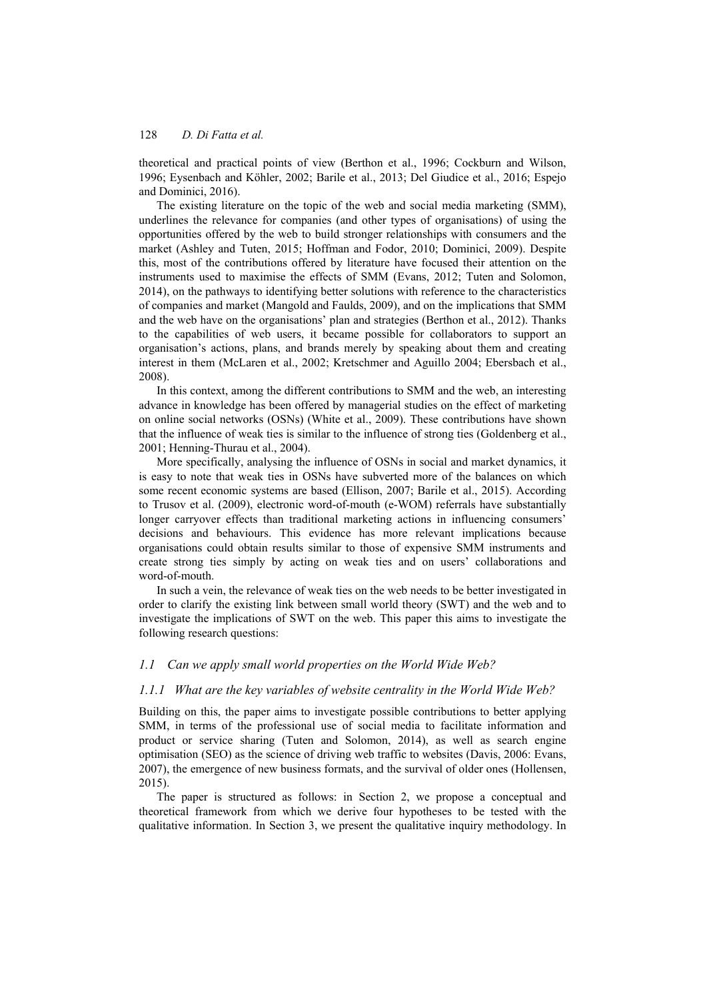theoretical and practical points of view (Berthon et al., 1996; Cockburn and Wilson, 1996; Eysenbach and Köhler, 2002; Barile et al., 2013; Del Giudice et al., 2016; Espejo and Dominici, 2016).

The existing literature on the topic of the web and social media marketing (SMM), underlines the relevance for companies (and other types of organisations) of using the opportunities offered by the web to build stronger relationships with consumers and the market (Ashley and Tuten, 2015; Hoffman and Fodor, 2010; Dominici, 2009). Despite this, most of the contributions offered by literature have focused their attention on the instruments used to maximise the effects of SMM (Evans, 2012; Tuten and Solomon, 2014), on the pathways to identifying better solutions with reference to the characteristics of companies and market (Mangold and Faulds, 2009), and on the implications that SMM and the web have on the organisations' plan and strategies (Berthon et al., 2012). Thanks to the capabilities of web users, it became possible for collaborators to support an organisation's actions, plans, and brands merely by speaking about them and creating interest in them (McLaren et al., 2002; Kretschmer and Aguillo 2004; Ebersbach et al., 2008).

In this context, among the different contributions to SMM and the web, an interesting advance in knowledge has been offered by managerial studies on the effect of marketing on online social networks (OSNs) (White et al., 2009). These contributions have shown that the influence of weak ties is similar to the influence of strong ties (Goldenberg et al., 2001; Henning-Thurau et al., 2004).

More specifically, analysing the influence of OSNs in social and market dynamics, it is easy to note that weak ties in OSNs have subverted more of the balances on which some recent economic systems are based (Ellison, 2007; Barile et al., 2015). According to Trusov et al. (2009), electronic word-of-mouth (e-WOM) referrals have substantially longer carryover effects than traditional marketing actions in influencing consumers' decisions and behaviours. This evidence has more relevant implications because organisations could obtain results similar to those of expensive SMM instruments and create strong ties simply by acting on weak ties and on users' collaborations and word-of-mouth.

In such a vein, the relevance of weak ties on the web needs to be better investigated in order to clarify the existing link between small world theory (SWT) and the web and to investigate the implications of SWT on the web. This paper this aims to investigate the following research questions:

#### *1.1 Can we apply small world properties on the World Wide Web?*

#### *1.1.1 What are the key variables of website centrality in the World Wide Web?*

Building on this, the paper aims to investigate possible contributions to better applying SMM, in terms of the professional use of social media to facilitate information and product or service sharing (Tuten and Solomon, 2014), as well as search engine optimisation (SEO) as the science of driving web traffic to websites (Davis, 2006: Evans, 2007), the emergence of new business formats, and the survival of older ones (Hollensen, 2015).

The paper is structured as follows: in Section 2, we propose a conceptual and theoretical framework from which we derive four hypotheses to be tested with the qualitative information. In Section 3, we present the qualitative inquiry methodology. In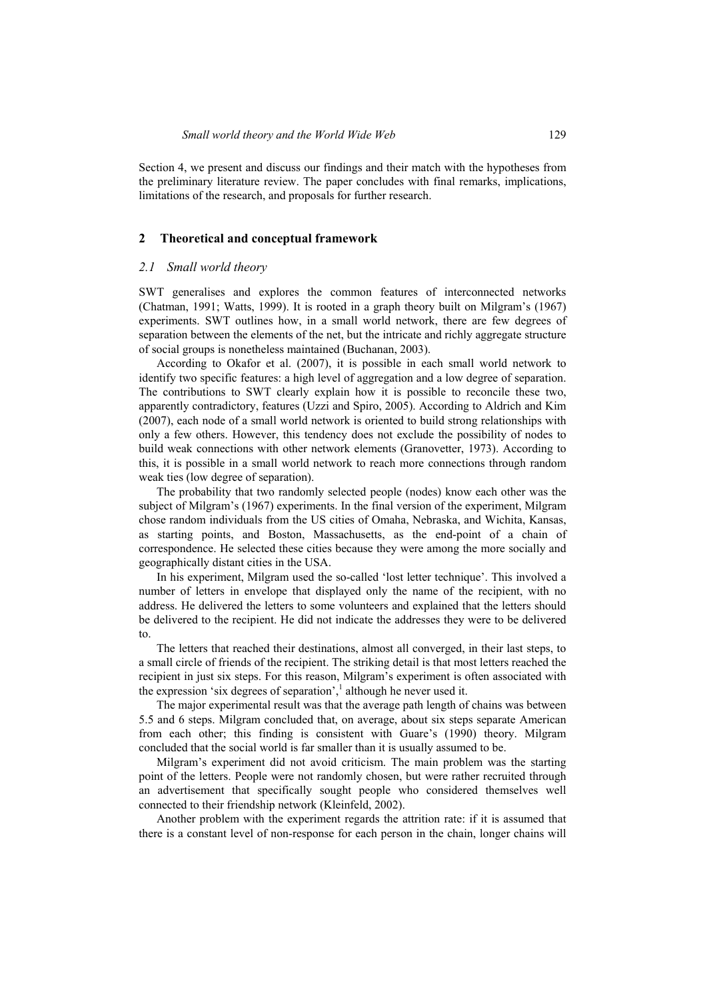Section 4, we present and discuss our findings and their match with the hypotheses from the preliminary literature review. The paper concludes with final remarks, implications, limitations of the research, and proposals for further research.

### **2 Theoretical and conceptual framework**

#### *2.1 Small world theory*

SWT generalises and explores the common features of interconnected networks (Chatman, 1991; Watts, 1999). It is rooted in a graph theory built on Milgram's (1967) experiments. SWT outlines how, in a small world network, there are few degrees of separation between the elements of the net, but the intricate and richly aggregate structure of social groups is nonetheless maintained (Buchanan, 2003).

According to Okafor et al. (2007), it is possible in each small world network to identify two specific features: a high level of aggregation and a low degree of separation. The contributions to SWT clearly explain how it is possible to reconcile these two, apparently contradictory, features (Uzzi and Spiro, 2005). According to Aldrich and Kim (2007), each node of a small world network is oriented to build strong relationships with only a few others. However, this tendency does not exclude the possibility of nodes to build weak connections with other network elements (Granovetter, 1973). According to this, it is possible in a small world network to reach more connections through random weak ties (low degree of separation).

The probability that two randomly selected people (nodes) know each other was the subject of Milgram's (1967) experiments. In the final version of the experiment, Milgram chose random individuals from the US cities of Omaha, Nebraska, and Wichita, Kansas, as starting points, and Boston, Massachusetts, as the end-point of a chain of correspondence. He selected these cities because they were among the more socially and geographically distant cities in the USA.

In his experiment, Milgram used the so-called 'lost letter technique'. This involved a number of letters in envelope that displayed only the name of the recipient, with no address. He delivered the letters to some volunteers and explained that the letters should be delivered to the recipient. He did not indicate the addresses they were to be delivered to.

The letters that reached their destinations, almost all converged, in their last steps, to a small circle of friends of the recipient. The striking detail is that most letters reached the recipient in just six steps. For this reason, Milgram's experiment is often associated with the expression 'six degrees of separation',<sup>1</sup> although he never used it.

The major experimental result was that the average path length of chains was between 5.5 and 6 steps. Milgram concluded that, on average, about six steps separate American from each other; this finding is consistent with Guare's (1990) theory. Milgram concluded that the social world is far smaller than it is usually assumed to be.

Milgram's experiment did not avoid criticism. The main problem was the starting point of the letters. People were not randomly chosen, but were rather recruited through an advertisement that specifically sought people who considered themselves well connected to their friendship network (Kleinfeld, 2002).

Another problem with the experiment regards the attrition rate: if it is assumed that there is a constant level of non-response for each person in the chain, longer chains will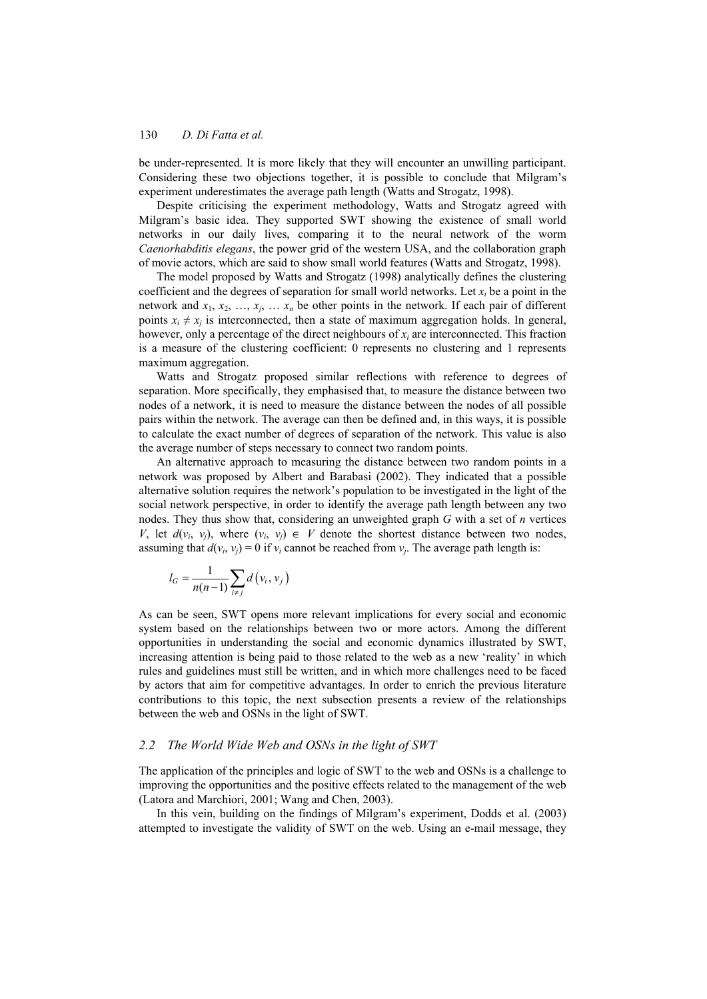be under-represented. It is more likely that they will encounter an unwilling participant. Considering these two objections together, it is possible to conclude that Milgram's experiment underestimates the average path length (Watts and Strogatz, 1998).

Despite criticising the experiment methodology, Watts and Strogatz agreed with Milgram's basic idea. They supported SWT showing the existence of small world networks in our daily lives, comparing it to the neural network of the worm *Caenorhabditis elegans*, the power grid of the western USA, and the collaboration graph of movie actors, which are said to show small world features (Watts and Strogatz, 1998).

The model proposed by Watts and Strogatz (1998) analytically defines the clustering coefficient and the degrees of separation for small world networks. Let *xi* be a point in the network and  $x_1, x_2, ..., x_i, ..., x_n$  be other points in the network. If each pair of different points  $x_i \neq x_j$  is interconnected, then a state of maximum aggregation holds. In general, however, only a percentage of the direct neighbours of  $x_i$  are interconnected. This fraction is a measure of the clustering coefficient: 0 represents no clustering and 1 represents maximum aggregation.

Watts and Strogatz proposed similar reflections with reference to degrees of separation. More specifically, they emphasised that, to measure the distance between two nodes of a network, it is need to measure the distance between the nodes of all possible pairs within the network. The average can then be defined and, in this ways, it is possible to calculate the exact number of degrees of separation of the network. This value is also the average number of steps necessary to connect two random points.

An alternative approach to measuring the distance between two random points in a network was proposed by Albert and Barabasi (2002). They indicated that a possible alternative solution requires the network's population to be investigated in the light of the social network perspective, in order to identify the average path length between any two nodes. They thus show that, considering an unweighted graph *G* with a set of *n* vertices *V*, let  $d(v_i, v_j)$ , where  $(v_i, v_j) \in V$  denote the shortest distance between two nodes, assuming that  $d(v_i, v_j) = 0$  if  $v_i$  cannot be reached from  $v_j$ . The average path length is:

$$
l_G = \frac{1}{n(n-1)} \sum_{i \neq j} d(v_i, v_j)
$$

As can be seen, SWT opens more relevant implications for every social and economic system based on the relationships between two or more actors. Among the different opportunities in understanding the social and economic dynamics illustrated by SWT, increasing attention is being paid to those related to the web as a new 'reality' in which rules and guidelines must still be written, and in which more challenges need to be faced by actors that aim for competitive advantages. In order to enrich the previous literature contributions to this topic, the next subsection presents a review of the relationships between the web and OSNs in the light of SWT.

### *2.2 The World Wide Web and OSNs in the light of SWT*

The application of the principles and logic of SWT to the web and OSNs is a challenge to improving the opportunities and the positive effects related to the management of the web (Latora and Marchiori, 2001; Wang and Chen, 2003).

In this vein, building on the findings of Milgram's experiment, Dodds et al. (2003) attempted to investigate the validity of SWT on the web. Using an e-mail message, they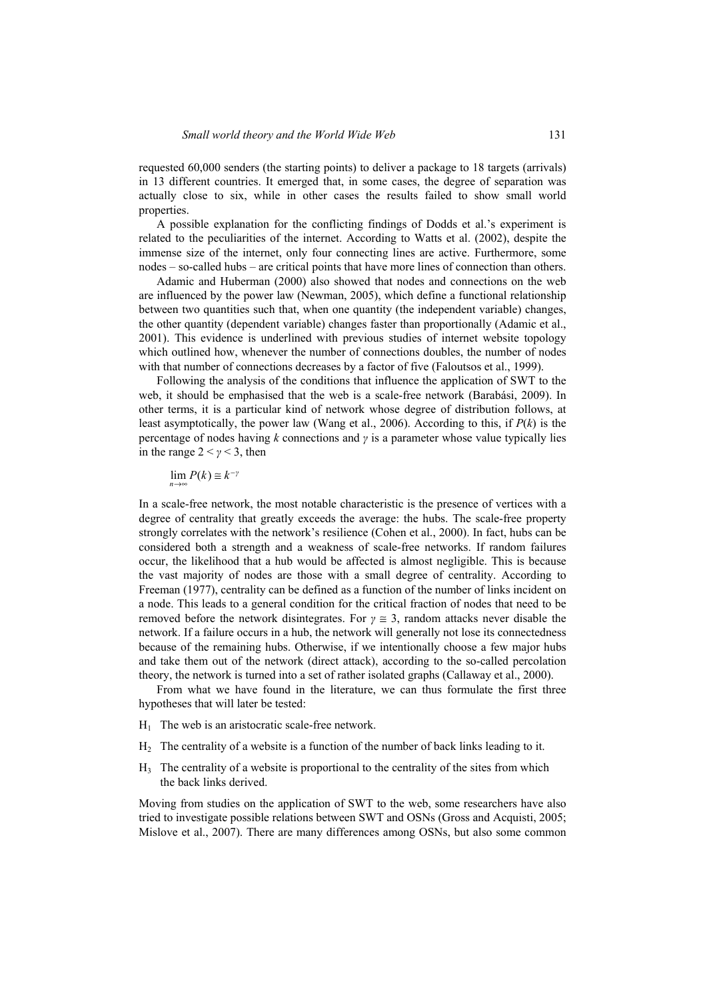requested 60,000 senders (the starting points) to deliver a package to 18 targets (arrivals) in 13 different countries. It emerged that, in some cases, the degree of separation was actually close to six, while in other cases the results failed to show small world properties.

A possible explanation for the conflicting findings of Dodds et al.'s experiment is related to the peculiarities of the internet. According to Watts et al. (2002), despite the immense size of the internet, only four connecting lines are active. Furthermore, some nodes – so-called hubs – are critical points that have more lines of connection than others.

Adamic and Huberman (2000) also showed that nodes and connections on the web are influenced by the power law (Newman, 2005), which define a functional relationship between two quantities such that, when one quantity (the independent variable) changes, the other quantity (dependent variable) changes faster than proportionally (Adamic et al., 2001). This evidence is underlined with previous studies of internet website topology which outlined how, whenever the number of connections doubles, the number of nodes with that number of connections decreases by a factor of five (Faloutsos et al., 1999).

Following the analysis of the conditions that influence the application of SWT to the web, it should be emphasised that the web is a scale-free network (Barabási, 2009). In other terms, it is a particular kind of network whose degree of distribution follows, at least asymptotically, the power law (Wang et al., 2006). According to this, if *P*(*k*) is the percentage of nodes having *k* connections and  $\gamma$  is a parameter whose value typically lies in the range  $2 < \gamma < 3$ , then

$$
\lim_{n\to\infty} P(k) \cong k^{-\gamma}
$$

In a scale-free network, the most notable characteristic is the presence of vertices with a degree of centrality that greatly exceeds the average: the hubs. The scale-free property strongly correlates with the network's resilience (Cohen et al., 2000). In fact, hubs can be considered both a strength and a weakness of scale-free networks. If random failures occur, the likelihood that a hub would be affected is almost negligible. This is because the vast majority of nodes are those with a small degree of centrality. According to Freeman (1977), centrality can be defined as a function of the number of links incident on a node. This leads to a general condition for the critical fraction of nodes that need to be removed before the network disintegrates. For *γ* ≅ 3, random attacks never disable the network. If a failure occurs in a hub, the network will generally not lose its connectedness because of the remaining hubs. Otherwise, if we intentionally choose a few major hubs and take them out of the network (direct attack), according to the so-called percolation theory, the network is turned into a set of rather isolated graphs (Callaway et al., 2000).

From what we have found in the literature, we can thus formulate the first three hypotheses that will later be tested:

- $H_1$  The web is an aristocratic scale-free network.
- $H<sub>2</sub>$  The centrality of a website is a function of the number of back links leading to it.
- $H<sub>3</sub>$  The centrality of a website is proportional to the centrality of the sites from which the back links derived.

Moving from studies on the application of SWT to the web, some researchers have also tried to investigate possible relations between SWT and OSNs (Gross and Acquisti, 2005; Mislove et al., 2007). There are many differences among OSNs, but also some common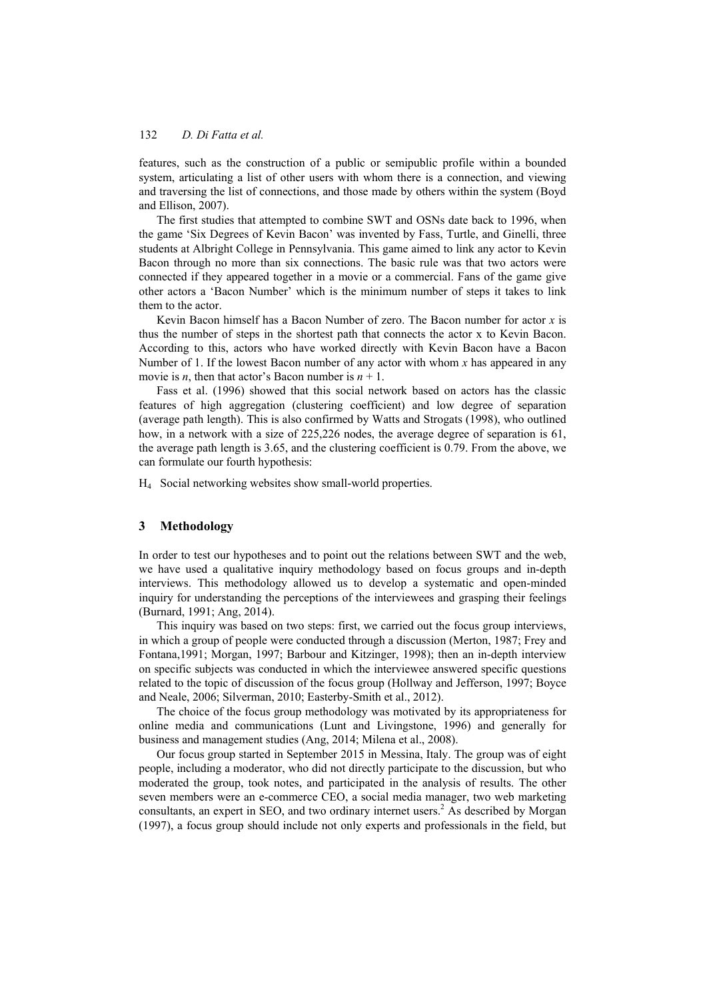features, such as the construction of a public or semipublic profile within a bounded system, articulating a list of other users with whom there is a connection, and viewing and traversing the list of connections, and those made by others within the system (Boyd and Ellison, 2007).

The first studies that attempted to combine SWT and OSNs date back to 1996, when the game 'Six Degrees of Kevin Bacon' was invented by Fass, Turtle, and Ginelli, three students at Albright College in Pennsylvania. This game aimed to link any actor to Kevin Bacon through no more than six connections. The basic rule was that two actors were connected if they appeared together in a movie or a commercial. Fans of the game give other actors a 'Bacon Number' which is the minimum number of steps it takes to link them to the actor.

Kevin Bacon himself has a Bacon Number of zero. The Bacon number for actor *x* is thus the number of steps in the shortest path that connects the actor x to Kevin Bacon. According to this, actors who have worked directly with Kevin Bacon have a Bacon Number of 1. If the lowest Bacon number of any actor with whom *x* has appeared in any movie is *n*, then that actor's Bacon number is  $n + 1$ .

Fass et al. (1996) showed that this social network based on actors has the classic features of high aggregation (clustering coefficient) and low degree of separation (average path length). This is also confirmed by Watts and Strogats (1998), who outlined how, in a network with a size of 225,226 nodes, the average degree of separation is 61, the average path length is 3.65, and the clustering coefficient is 0.79. From the above, we can formulate our fourth hypothesis:

H4 Social networking websites show small-world properties.

#### **3 Methodology**

In order to test our hypotheses and to point out the relations between SWT and the web, we have used a qualitative inquiry methodology based on focus groups and in-depth interviews. This methodology allowed us to develop a systematic and open-minded inquiry for understanding the perceptions of the interviewees and grasping their feelings (Burnard, 1991; Ang, 2014).

This inquiry was based on two steps: first, we carried out the focus group interviews, in which a group of people were conducted through a discussion (Merton, 1987; Frey and Fontana,1991; Morgan, 1997; Barbour and Kitzinger, 1998); then an in-depth interview on specific subjects was conducted in which the interviewee answered specific questions related to the topic of discussion of the focus group (Hollway and Jefferson, 1997; Boyce and Neale, 2006; Silverman, 2010; Easterby-Smith et al., 2012).

The choice of the focus group methodology was motivated by its appropriateness for online media and communications (Lunt and Livingstone, 1996) and generally for business and management studies (Ang, 2014; Milena et al., 2008).

Our focus group started in September 2015 in Messina, Italy. The group was of eight people, including a moderator, who did not directly participate to the discussion, but who moderated the group, took notes, and participated in the analysis of results. The other seven members were an e-commerce CEO, a social media manager, two web marketing consultants, an expert in SEO, and two ordinary internet users.<sup>2</sup> As described by Morgan (1997), a focus group should include not only experts and professionals in the field, but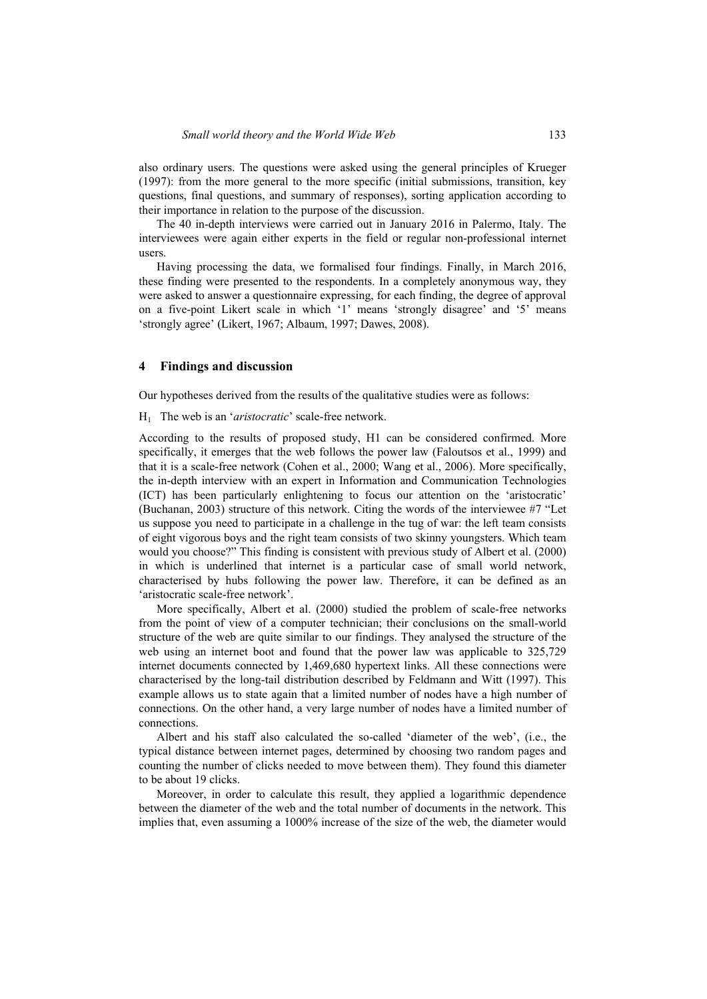also ordinary users. The questions were asked using the general principles of Krueger (1997): from the more general to the more specific (initial submissions, transition, key questions, final questions, and summary of responses), sorting application according to their importance in relation to the purpose of the discussion.

The 40 in-depth interviews were carried out in January 2016 in Palermo, Italy. The interviewees were again either experts in the field or regular non-professional internet users.

Having processing the data, we formalised four findings. Finally, in March 2016, these finding were presented to the respondents. In a completely anonymous way, they were asked to answer a questionnaire expressing, for each finding, the degree of approval on a five-point Likert scale in which '1' means 'strongly disagree' and '5' means 'strongly agree' (Likert, 1967; Albaum, 1997; Dawes, 2008).

#### **4 Findings and discussion**

Our hypotheses derived from the results of the qualitative studies were as follows:

H1 The web is an '*aristocratic*' scale-free network.

According to the results of proposed study, H1 can be considered confirmed. More specifically, it emerges that the web follows the power law (Faloutsos et al., 1999) and that it is a scale-free network (Cohen et al., 2000; Wang et al., 2006). More specifically, the in-depth interview with an expert in Information and Communication Technologies (ICT) has been particularly enlightening to focus our attention on the 'aristocratic' (Buchanan, 2003) structure of this network. Citing the words of the interviewee #7 "Let us suppose you need to participate in a challenge in the tug of war: the left team consists of eight vigorous boys and the right team consists of two skinny youngsters. Which team would you choose?" This finding is consistent with previous study of Albert et al. (2000) in which is underlined that internet is a particular case of small world network, characterised by hubs following the power law. Therefore, it can be defined as an 'aristocratic scale-free network'.

More specifically, Albert et al. (2000) studied the problem of scale-free networks from the point of view of a computer technician; their conclusions on the small-world structure of the web are quite similar to our findings. They analysed the structure of the web using an internet boot and found that the power law was applicable to 325,729 internet documents connected by 1,469,680 hypertext links. All these connections were characterised by the long-tail distribution described by Feldmann and Witt (1997). This example allows us to state again that a limited number of nodes have a high number of connections. On the other hand, a very large number of nodes have a limited number of connections.

Albert and his staff also calculated the so-called 'diameter of the web', (i.e., the typical distance between internet pages, determined by choosing two random pages and counting the number of clicks needed to move between them). They found this diameter to be about 19 clicks.

Moreover, in order to calculate this result, they applied a logarithmic dependence between the diameter of the web and the total number of documents in the network. This implies that, even assuming a 1000% increase of the size of the web, the diameter would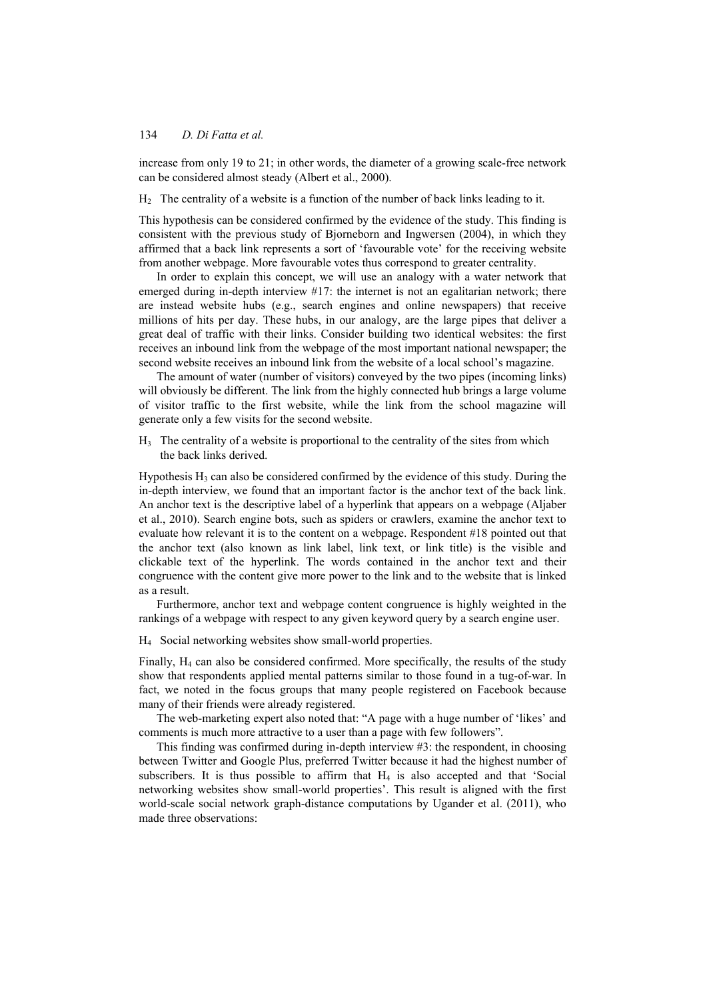increase from only 19 to 21; in other words, the diameter of a growing scale-free network can be considered almost steady (Albert et al., 2000).

 $H<sub>2</sub>$  The centrality of a website is a function of the number of back links leading to it.

This hypothesis can be considered confirmed by the evidence of the study. This finding is consistent with the previous study of Bjorneborn and Ingwersen (2004), in which they affirmed that a back link represents a sort of 'favourable vote' for the receiving website from another webpage. More favourable votes thus correspond to greater centrality.

In order to explain this concept, we will use an analogy with a water network that emerged during in-depth interview #17: the internet is not an egalitarian network; there are instead website hubs (e.g., search engines and online newspapers) that receive millions of hits per day. These hubs, in our analogy, are the large pipes that deliver a great deal of traffic with their links. Consider building two identical websites: the first receives an inbound link from the webpage of the most important national newspaper; the second website receives an inbound link from the website of a local school's magazine.

The amount of water (number of visitors) conveyed by the two pipes (incoming links) will obviously be different. The link from the highly connected hub brings a large volume of visitor traffic to the first website, while the link from the school magazine will generate only a few visits for the second website.

 $H<sub>3</sub>$  The centrality of a website is proportional to the centrality of the sites from which the back links derived.

Hypothesis  $H_3$  can also be considered confirmed by the evidence of this study. During the in-depth interview, we found that an important factor is the anchor text of the back link. An anchor text is the descriptive label of a hyperlink that appears on a webpage (Aljaber et al., 2010). Search engine bots, such as spiders or crawlers, examine the anchor text to evaluate how relevant it is to the content on a webpage. Respondent #18 pointed out that the anchor text (also known as link label, link text, or link title) is the visible and clickable text of the hyperlink. The words contained in the anchor text and their congruence with the content give more power to the link and to the website that is linked as a result.

Furthermore, anchor text and webpage content congruence is highly weighted in the rankings of a webpage with respect to any given keyword query by a search engine user.

H4 Social networking websites show small-world properties.

Finally,  $H_4$  can also be considered confirmed. More specifically, the results of the study show that respondents applied mental patterns similar to those found in a tug-of-war. In fact, we noted in the focus groups that many people registered on Facebook because many of their friends were already registered.

The web-marketing expert also noted that: "A page with a huge number of 'likes' and comments is much more attractive to a user than a page with few followers".

This finding was confirmed during in-depth interview #3: the respondent, in choosing between Twitter and Google Plus, preferred Twitter because it had the highest number of subscribers. It is thus possible to affirm that  $H_4$  is also accepted and that 'Social networking websites show small-world properties'. This result is aligned with the first world-scale social network graph-distance computations by Ugander et al. (2011), who made three observations: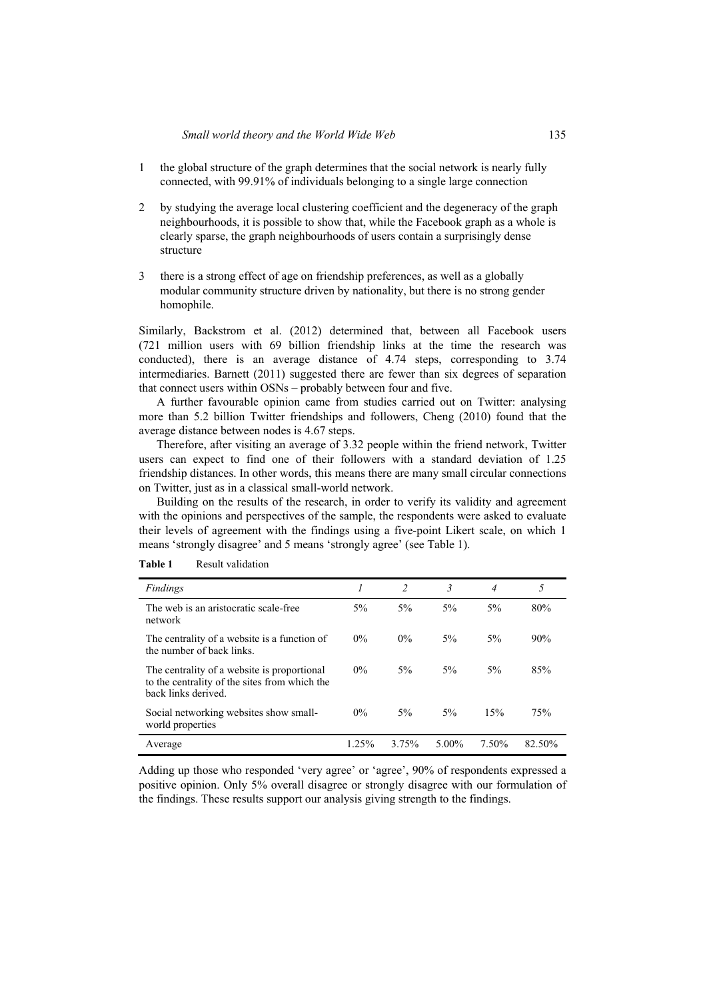- 1 the global structure of the graph determines that the social network is nearly fully connected, with 99.91% of individuals belonging to a single large connection
- 2 by studying the average local clustering coefficient and the degeneracy of the graph neighbourhoods, it is possible to show that, while the Facebook graph as a whole is clearly sparse, the graph neighbourhoods of users contain a surprisingly dense structure
- 3 there is a strong effect of age on friendship preferences, as well as a globally modular community structure driven by nationality, but there is no strong gender homophile.

Similarly, Backstrom et al. (2012) determined that, between all Facebook users (721 million users with 69 billion friendship links at the time the research was conducted), there is an average distance of 4.74 steps, corresponding to 3.74 intermediaries. Barnett (2011) suggested there are fewer than six degrees of separation that connect users within OSNs – probably between four and five.

A further favourable opinion came from studies carried out on Twitter: analysing more than 5.2 billion Twitter friendships and followers, Cheng (2010) found that the average distance between nodes is 4.67 steps.

Therefore, after visiting an average of 3.32 people within the friend network, Twitter users can expect to find one of their followers with a standard deviation of 1.25 friendship distances. In other words, this means there are many small circular connections on Twitter, just as in a classical small-world network.

Building on the results of the research, in order to verify its validity and agreement with the opinions and perspectives of the sample, the respondents were asked to evaluate their levels of agreement with the findings using a five-point Likert scale, on which 1 means 'strongly disagree' and 5 means 'strongly agree' (see Table 1).

| <b>Findings</b>                                                                                                     |       | 2     | 3     | 4     | 5      |
|---------------------------------------------------------------------------------------------------------------------|-------|-------|-------|-------|--------|
| The web is an aristocratic scale-free<br>network                                                                    | $5\%$ | $5\%$ | $5\%$ | $5\%$ | 80%    |
| The centrality of a website is a function of<br>the number of back links.                                           | $0\%$ | $0\%$ | $5\%$ | $5\%$ | 90%    |
| The centrality of a website is proportional<br>to the centrality of the sites from which the<br>back links derived. | $0\%$ | $5\%$ | $5\%$ | 5%    | 85%    |
| Social networking websites show small-<br>world properties                                                          | $0\%$ | 5%    | $5\%$ | 15%   | 75%    |
| Average                                                                                                             | 1.25% | 3.75% | 5.00% | 7.50% | 82.50% |

**Table 1** Result validation

Adding up those who responded 'very agree' or 'agree', 90% of respondents expressed a positive opinion. Only 5% overall disagree or strongly disagree with our formulation of the findings. These results support our analysis giving strength to the findings.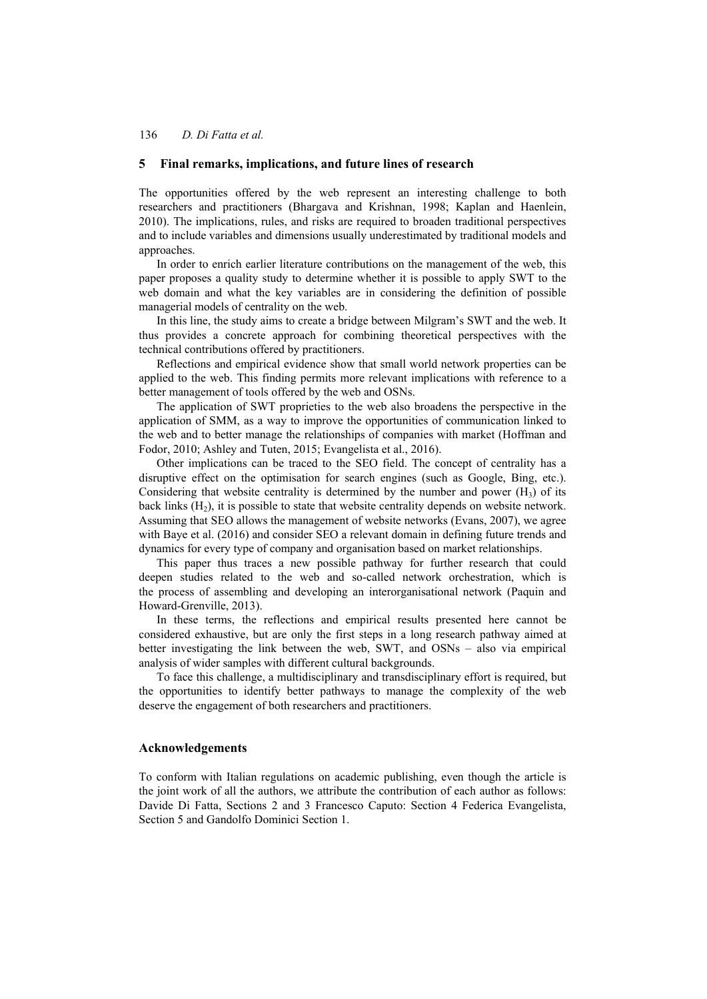#### **5 Final remarks, implications, and future lines of research**

The opportunities offered by the web represent an interesting challenge to both researchers and practitioners (Bhargava and Krishnan, 1998; Kaplan and Haenlein, 2010). The implications, rules, and risks are required to broaden traditional perspectives and to include variables and dimensions usually underestimated by traditional models and approaches.

In order to enrich earlier literature contributions on the management of the web, this paper proposes a quality study to determine whether it is possible to apply SWT to the web domain and what the key variables are in considering the definition of possible managerial models of centrality on the web.

In this line, the study aims to create a bridge between Milgram's SWT and the web. It thus provides a concrete approach for combining theoretical perspectives with the technical contributions offered by practitioners.

Reflections and empirical evidence show that small world network properties can be applied to the web. This finding permits more relevant implications with reference to a better management of tools offered by the web and OSNs.

The application of SWT proprieties to the web also broadens the perspective in the application of SMM, as a way to improve the opportunities of communication linked to the web and to better manage the relationships of companies with market (Hoffman and Fodor, 2010; Ashley and Tuten, 2015; Evangelista et al., 2016).

Other implications can be traced to the SEO field. The concept of centrality has a disruptive effect on the optimisation for search engines (such as Google, Bing, etc.). Considering that website centrality is determined by the number and power  $(H_3)$  of its back links  $(H<sub>2</sub>)$ , it is possible to state that website centrality depends on website network. Assuming that SEO allows the management of website networks (Evans, 2007), we agree with Baye et al. (2016) and consider SEO a relevant domain in defining future trends and dynamics for every type of company and organisation based on market relationships.

This paper thus traces a new possible pathway for further research that could deepen studies related to the web and so-called network orchestration, which is the process of assembling and developing an interorganisational network (Paquin and Howard-Grenville, 2013).

In these terms, the reflections and empirical results presented here cannot be considered exhaustive, but are only the first steps in a long research pathway aimed at better investigating the link between the web, SWT, and OSNs – also via empirical analysis of wider samples with different cultural backgrounds.

To face this challenge, a multidisciplinary and transdisciplinary effort is required, but the opportunities to identify better pathways to manage the complexity of the web deserve the engagement of both researchers and practitioners.

#### **Acknowledgements**

To conform with Italian regulations on academic publishing, even though the article is the joint work of all the authors, we attribute the contribution of each author as follows: Davide Di Fatta, Sections 2 and 3 Francesco Caputo: Section 4 Federica Evangelista, Section 5 and Gandolfo Dominici Section 1.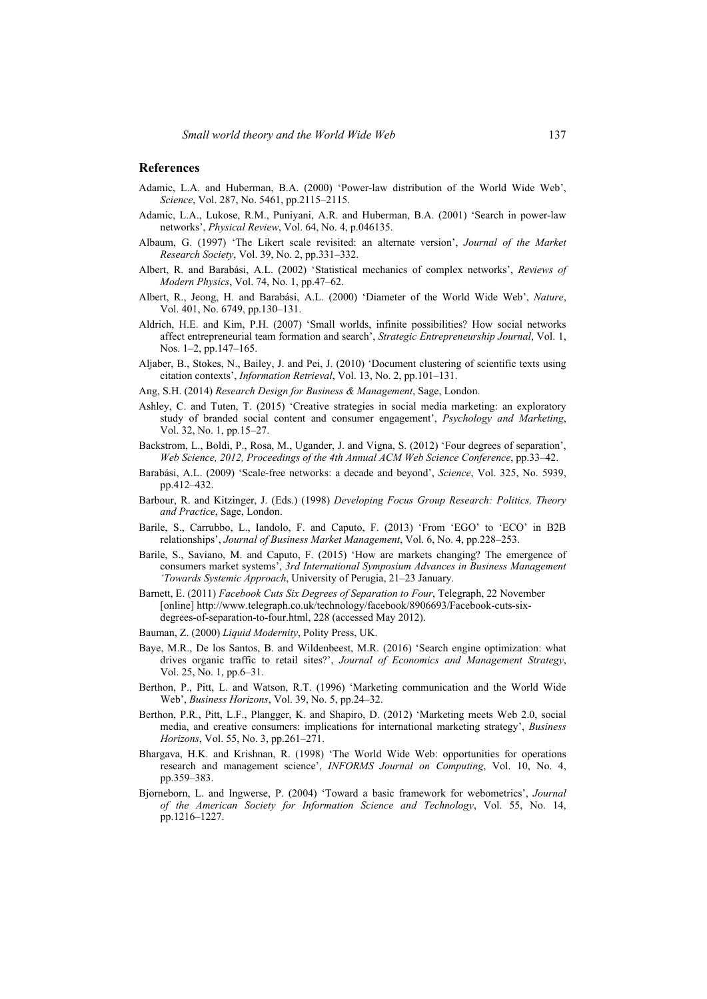#### **References**

- Adamic, L.A. and Huberman, B.A. (2000) 'Power-law distribution of the World Wide Web', *Science*, Vol. 287, No. 5461, pp.2115–2115.
- Adamic, L.A., Lukose, R.M., Puniyani, A.R. and Huberman, B.A. (2001) 'Search in power-law networks', *Physical Review*, Vol. 64, No. 4, p.046135.
- Albaum, G. (1997) 'The Likert scale revisited: an alternate version', *Journal of the Market Research Society*, Vol. 39, No. 2, pp.331–332.
- Albert, R. and Barabási, A.L. (2002) 'Statistical mechanics of complex networks', *Reviews of Modern Physics*, Vol. 74, No. 1, pp.47–62.
- Albert, R., Jeong, H. and Barabási, A.L. (2000) 'Diameter of the World Wide Web', *Nature*, Vol. 401, No. 6749, pp.130–131.
- Aldrich, H.E. and Kim, P.H. (2007) 'Small worlds, infinite possibilities? How social networks affect entrepreneurial team formation and search', *Strategic Entrepreneurship Journal*, Vol. 1, Nos. 1–2, pp.147–165.
- Aljaber, B., Stokes, N., Bailey, J. and Pei, J. (2010) 'Document clustering of scientific texts using citation contexts', *Information Retrieval*, Vol. 13, No. 2, pp.101–131.
- Ang, S.H. (2014) *Research Design for Business & Management*, Sage, London.
- Ashley, C. and Tuten, T. (2015) 'Creative strategies in social media marketing: an exploratory study of branded social content and consumer engagement', *Psychology and Marketing*, Vol. 32, No. 1, pp.15–27.
- Backstrom, L., Boldi, P., Rosa, M., Ugander, J. and Vigna, S. (2012) 'Four degrees of separation', *Web Science, 2012, Proceedings of the 4th Annual ACM Web Science Conference*, pp.33–42.
- Barabási, A.L. (2009) 'Scale-free networks: a decade and beyond', *Science*, Vol. 325, No. 5939, pp.412–432.
- Barbour, R. and Kitzinger, J. (Eds.) (1998) *Developing Focus Group Research: Politics, Theory and Practice*, Sage, London.
- Barile, S., Carrubbo, L., Iandolo, F. and Caputo, F. (2013) 'From 'EGO' to 'ECO' in B2B relationships', *Journal of Business Market Management*, Vol. 6, No. 4, pp.228–253.
- Barile, S., Saviano, M. and Caputo, F. (2015) 'How are markets changing? The emergence of consumers market systems', *3rd International Symposium Advances in Business Management 'Towards Systemic Approach*, University of Perugia, 21–23 January.
- Barnett, E. (2011) *Facebook Cuts Six Degrees of Separation to Four*, Telegraph, 22 November [online] http://www.telegraph.co.uk/technology/facebook/8906693/Facebook-cuts-sixdegrees-of-separation-to-four.html, 228 (accessed May 2012).
- Bauman, Z. (2000) *Liquid Modernity*, Polity Press, UK.
- Baye, M.R., De los Santos, B. and Wildenbeest, M.R. (2016) 'Search engine optimization: what drives organic traffic to retail sites?', *Journal of Economics and Management Strategy*, Vol. 25, No. 1, pp.6–31.
- Berthon, P., Pitt, L. and Watson, R.T. (1996) 'Marketing communication and the World Wide Web', *Business Horizons*, Vol. 39, No. 5, pp.24–32.
- Berthon, P.R., Pitt, L.F., Plangger, K. and Shapiro, D. (2012) 'Marketing meets Web 2.0, social media, and creative consumers: implications for international marketing strategy', *Business Horizons*, Vol. 55, No. 3, pp.261–271.
- Bhargava, H.K. and Krishnan, R. (1998) 'The World Wide Web: opportunities for operations research and management science', *INFORMS Journal on Computing*, Vol. 10, No. 4, pp.359–383.
- Bjorneborn, L. and Ingwerse, P. (2004) 'Toward a basic framework for webometrics', *Journal of the American Society for Information Science and Technology*, Vol. 55, No. 14, pp.1216–1227.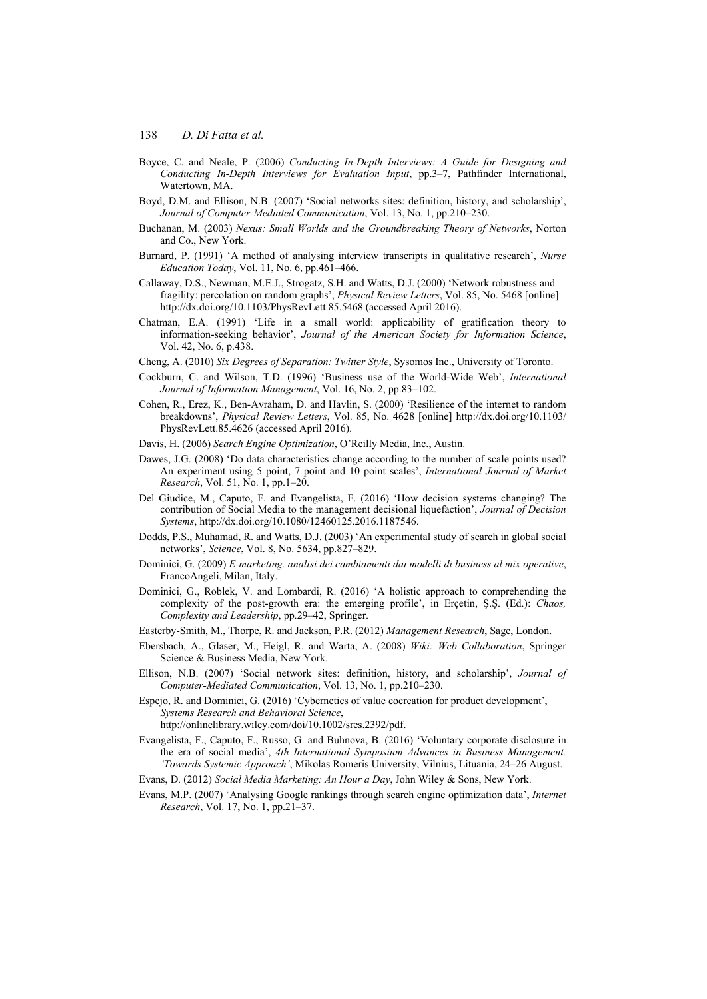- Boyce, C. and Neale, P. (2006) *Conducting In-Depth Interviews: A Guide for Designing and Conducting In-Depth Interviews for Evaluation Input*, pp.3–7, Pathfinder International, Watertown, MA.
- Boyd, D.M. and Ellison, N.B. (2007) 'Social networks sites: definition, history, and scholarship', *Journal of Computer-Mediated Communication*, Vol. 13, No. 1, pp.210–230.
- Buchanan, M. (2003) *Nexus: Small Worlds and the Groundbreaking Theory of Networks*, Norton and Co., New York.
- Burnard, P. (1991) 'A method of analysing interview transcripts in qualitative research', *Nurse Education Today*, Vol. 11, No. 6, pp.461–466.
- Callaway, D.S., Newman, M.E.J., Strogatz, S.H. and Watts, D.J. (2000) 'Network robustness and fragility: percolation on random graphs', *Physical Review Letters*, Vol. 85, No. 5468 [online] http://dx.doi.org/10.1103/PhysRevLett.85.5468 (accessed April 2016).
- Chatman, E.A. (1991) 'Life in a small world: applicability of gratification theory to information-seeking behavior', *Journal of the American Society for Information Science*, Vol. 42, No. 6, p.438.
- Cheng, A. (2010) *Six Degrees of Separation: Twitter Style*, Sysomos Inc., University of Toronto.
- Cockburn, C. and Wilson, T.D. (1996) 'Business use of the World-Wide Web', *International Journal of Information Management*, Vol. 16, No. 2, pp.83–102.
- Cohen, R., Erez, K., Ben-Avraham, D. and Havlin, S. (2000) 'Resilience of the internet to random breakdowns', *Physical Review Letters*, Vol. 85, No. 4628 [online] http://dx.doi.org/10.1103/ PhysRevLett.85.4626 (accessed April 2016).
- Davis, H. (2006) *Search Engine Optimization*, O'Reilly Media, Inc., Austin.
- Dawes, J.G. (2008) 'Do data characteristics change according to the number of scale points used? An experiment using 5 point, 7 point and 10 point scales', *International Journal of Market Research*, Vol. 51, No. 1, pp.1–20.
- Del Giudice, M., Caputo, F. and Evangelista, F. (2016) 'How decision systems changing? The contribution of Social Media to the management decisional liquefaction', *Journal of Decision Systems*, http://dx.doi.org/10.1080/12460125.2016.1187546.
- Dodds, P.S., Muhamad, R. and Watts, D.J. (2003) 'An experimental study of search in global social networks', *Science*, Vol. 8, No. 5634, pp.827–829.
- Dominici, G. (2009) *E-marketing. analisi dei cambiamenti dai modelli di business al mix operative*, FrancoAngeli, Milan, Italy.
- Dominici, G., Roblek, V. and Lombardi, R. (2016) 'A holistic approach to comprehending the complexity of the post-growth era: the emerging profile', in Erçetin, Ş.Ş. (Ed.): *Chaos, Complexity and Leadership*, pp.29–42, Springer.
- Easterby-Smith, M., Thorpe, R. and Jackson, P.R. (2012) *Management Research*, Sage, London.
- Ebersbach, A., Glaser, M., Heigl, R. and Warta, A. (2008) *Wiki: Web Collaboration*, Springer Science & Business Media, New York.
- Ellison, N.B. (2007) 'Social network sites: definition, history, and scholarship', *Journal of Computer-Mediated Communication*, Vol. 13, No. 1, pp.210–230.
- Espejo, R. and Dominici, G. (2016) 'Cybernetics of value cocreation for product development', *Systems Research and Behavioral Science*, http://onlinelibrary.wiley.com/doi/10.1002/sres.2392/pdf.
- Evangelista, F., Caputo, F., Russo, G. and Buhnova, B. (2016) 'Voluntary corporate disclosure in the era of social media', *4th International Symposium Advances in Business Management. 'Towards Systemic Approach'*, Mikolas Romeris University, Vilnius, Lituania, 24–26 August.
- Evans, D. (2012) *Social Media Marketing: An Hour a Day*, John Wiley & Sons, New York.
- Evans, M.P. (2007) 'Analysing Google rankings through search engine optimization data', *Internet Research*, Vol. 17, No. 1, pp.21–37.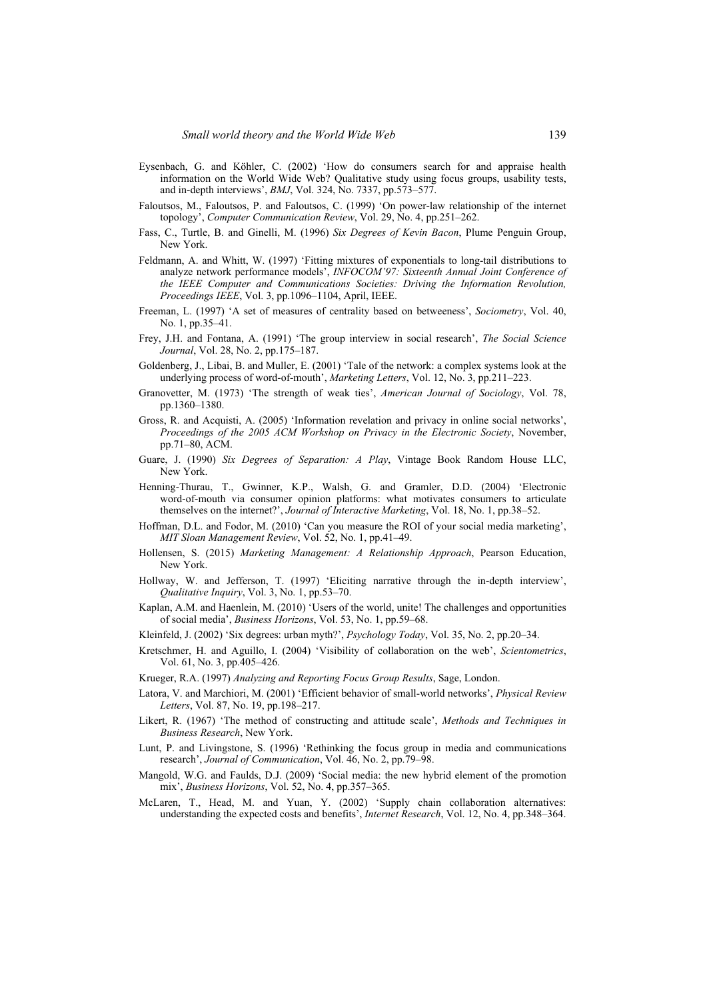- Eysenbach, G. and Köhler, C. (2002) 'How do consumers search for and appraise health information on the World Wide Web? Qualitative study using focus groups, usability tests, and in-depth interviews', *BMJ*, Vol. 324, No. 7337, pp.573–577.
- Faloutsos, M., Faloutsos, P. and Faloutsos, C. (1999) 'On power-law relationship of the internet topology', *Computer Communication Review*, Vol. 29, No. 4, pp.251–262.
- Fass, C., Turtle, B. and Ginelli, M. (1996) *Six Degrees of Kevin Bacon*, Plume Penguin Group, New York.
- Feldmann, A. and Whitt, W. (1997) 'Fitting mixtures of exponentials to long-tail distributions to analyze network performance models', *INFOCOM'97: Sixteenth Annual Joint Conference of the IEEE Computer and Communications Societies: Driving the Information Revolution, Proceedings IEEE*, Vol. 3, pp.1096–1104, April, IEEE.
- Freeman, L. (1997) 'A set of measures of centrality based on betweeness', *Sociometry*, Vol. 40, No. 1, pp.35–41.
- Frey, J.H. and Fontana, A. (1991) 'The group interview in social research', *The Social Science Journal*, Vol. 28, No. 2, pp.175–187.
- Goldenberg, J., Libai, B. and Muller, E. (2001) 'Tale of the network: a complex systems look at the underlying process of word-of-mouth', *Marketing Letters*, Vol. 12, No. 3, pp.211–223.
- Granovetter, M. (1973) 'The strength of weak ties', *American Journal of Sociology*, Vol. 78, pp.1360–1380.
- Gross, R. and Acquisti, A. (2005) 'Information revelation and privacy in online social networks', *Proceedings of the 2005 ACM Workshop on Privacy in the Electronic Society*, November, pp.71–80, ACM.
- Guare, J. (1990) *Six Degrees of Separation: A Play*, Vintage Book Random House LLC, New York.
- Henning-Thurau, T., Gwinner, K.P., Walsh, G. and Gramler, D.D. (2004) 'Electronic word-of-mouth via consumer opinion platforms: what motivates consumers to articulate themselves on the internet?', *Journal of Interactive Marketing*, Vol. 18, No. 1, pp.38–52.
- Hoffman, D.L. and Fodor, M. (2010) 'Can you measure the ROI of your social media marketing', *MIT Sloan Management Review*, Vol. 52, No. 1, pp.41–49.
- Hollensen, S. (2015) *Marketing Management: A Relationship Approach*, Pearson Education, New York.
- Hollway, W. and Jefferson, T. (1997) 'Eliciting narrative through the in-depth interview', *Qualitative Inquiry*, Vol. 3, No. 1, pp.53–70.
- Kaplan, A.M. and Haenlein, M. (2010) 'Users of the world, unite! The challenges and opportunities of social media', *Business Horizons*, Vol. 53, No. 1, pp.59–68.
- Kleinfeld, J. (2002) 'Six degrees: urban myth?', *Psychology Today*, Vol. 35, No. 2, pp.20–34.
- Kretschmer, H. and Aguillo, I. (2004) 'Visibility of collaboration on the web', *Scientometrics*, Vol. 61, No. 3, pp.405–426.
- Krueger, R.A. (1997) *Analyzing and Reporting Focus Group Results*, Sage, London.
- Latora, V. and Marchiori, M. (2001) 'Efficient behavior of small-world networks', *Physical Review Letters*, Vol. 87, No. 19, pp.198–217.
- Likert, R. (1967) 'The method of constructing and attitude scale', *Methods and Techniques in Business Research*, New York.
- Lunt, P. and Livingstone, S. (1996) 'Rethinking the focus group in media and communications research', *Journal of Communication*, Vol. 46, No. 2, pp.79–98.
- Mangold, W.G. and Faulds, D.J. (2009) 'Social media: the new hybrid element of the promotion mix', *Business Horizons*, Vol. 52, No. 4, pp.357–365.
- McLaren, T., Head, M. and Yuan, Y. (2002) 'Supply chain collaboration alternatives: understanding the expected costs and benefits', *Internet Research*, Vol. 12, No. 4, pp.348–364.